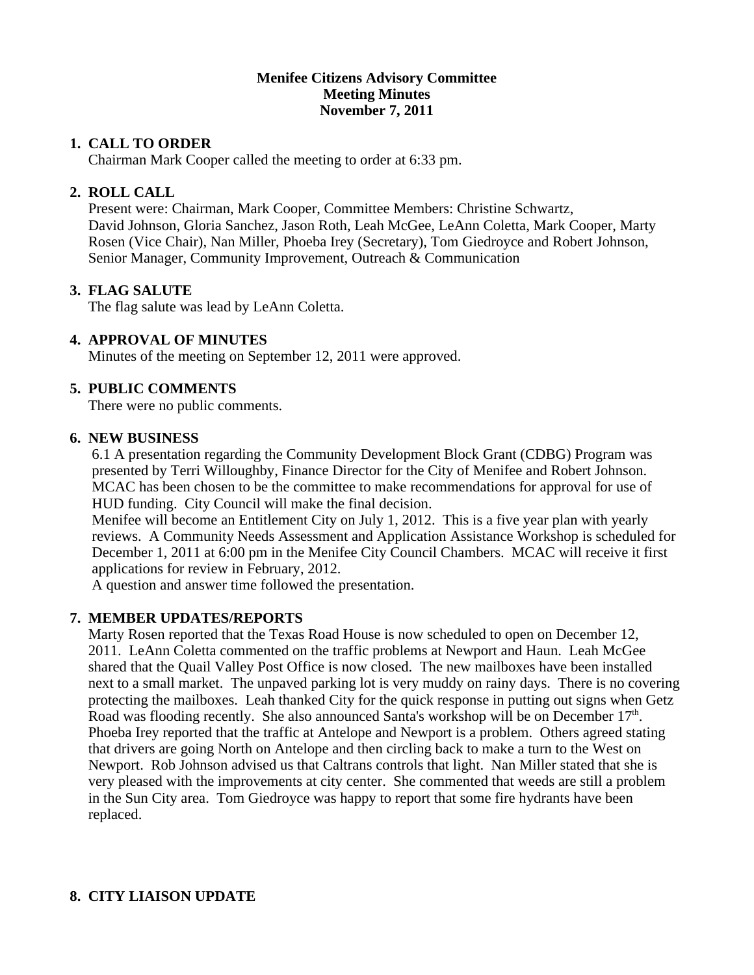### **Menifee Citizens Advisory Committee Meeting Minutes November 7, 2011**

### **1. CALL TO ORDER**

Chairman Mark Cooper called the meeting to order at 6:33 pm.

# **2. ROLL CALL**

 Present were: Chairman, Mark Cooper, Committee Members: Christine Schwartz, David Johnson, Gloria Sanchez, Jason Roth, Leah McGee, LeAnn Coletta, Mark Cooper, Marty Rosen (Vice Chair), Nan Miller, Phoeba Irey (Secretary), Tom Giedroyce and Robert Johnson, Senior Manager, Community Improvement, Outreach & Communication

### **3. FLAG SALUTE**

The flag salute was lead by LeAnn Coletta.

# **4. APPROVAL OF MINUTES**

Minutes of the meeting on September 12, 2011 were approved.

### **5. PUBLIC COMMENTS**

There were no public comments.

#### **6. NEW BUSINESS**

 6.1 A presentation regarding the Community Development Block Grant (CDBG) Program was presented by Terri Willoughby, Finance Director for the City of Menifee and Robert Johnson. MCAC has been chosen to be the committee to make recommendations for approval for use of HUD funding. City Council will make the final decision.

 Menifee will become an Entitlement City on July 1, 2012. This is a five year plan with yearly reviews. A Community Needs Assessment and Application Assistance Workshop is scheduled for December 1, 2011 at 6:00 pm in the Menifee City Council Chambers. MCAC will receive it first applications for review in February, 2012.

A question and answer time followed the presentation.

#### **7. MEMBER UPDATES/REPORTS**

 Marty Rosen reported that the Texas Road House is now scheduled to open on December 12, 2011. LeAnn Coletta commented on the traffic problems at Newport and Haun. Leah McGee shared that the Quail Valley Post Office is now closed. The new mailboxes have been installed next to a small market. The unpaved parking lot is very muddy on rainy days. There is no covering protecting the mailboxes. Leah thanked City for the quick response in putting out signs when Getz Road was flooding recently. She also announced Santa's workshop will be on December 17<sup>th</sup>. Phoeba Irey reported that the traffic at Antelope and Newport is a problem. Others agreed stating that drivers are going North on Antelope and then circling back to make a turn to the West on Newport. Rob Johnson advised us that Caltrans controls that light. Nan Miller stated that she is very pleased with the improvements at city center. She commented that weeds are still a problem in the Sun City area. Tom Giedroyce was happy to report that some fire hydrants have been replaced.

# **8. CITY LIAISON UPDATE**